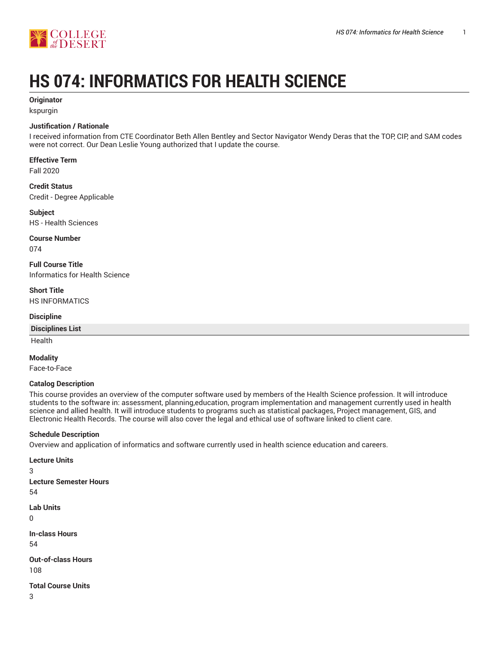

# **HS 074: INFORMATICS FOR HEALTH SCIENCE**

## **Originator**

kspurgin

## **Justification / Rationale**

I received information from CTE Coordinator Beth Allen Bentley and Sector Navigator Wendy Deras that the TOP, CIP, and SAM codes were not correct. Our Dean Leslie Young authorized that I update the course.

# **Effective Term**

Fall 2020

# **Credit Status**

Credit - Degree Applicable

## **Subject**

HS - Health Sciences

## **Course Number**

074

**Full Course Title** Informatics for Health Science

#### **Short Title** HS INFORMATICS

## **Discipline**

## **Disciplines List**

Health

## **Modality**

Face-to-Face

## **Catalog Description**

This course provides an overview of the computer software used by members of the Health Science profession. It will introduce students to the software in: assessment, planning,education, program implementation and management currently used in health science and allied health. It will introduce students to programs such as statistical packages, Project management, GIS, and Electronic Health Records. The course will also cover the legal and ethical use of software linked to client care.

## **Schedule Description**

**Lecture Units**

Overview and application of informatics and software currently used in health science education and careers.

3 **Lecture Semester Hours** 54 **Lab Units**  $\Omega$ **In-class Hours**

54

**Out-of-class Hours** 108

**Total Course Units**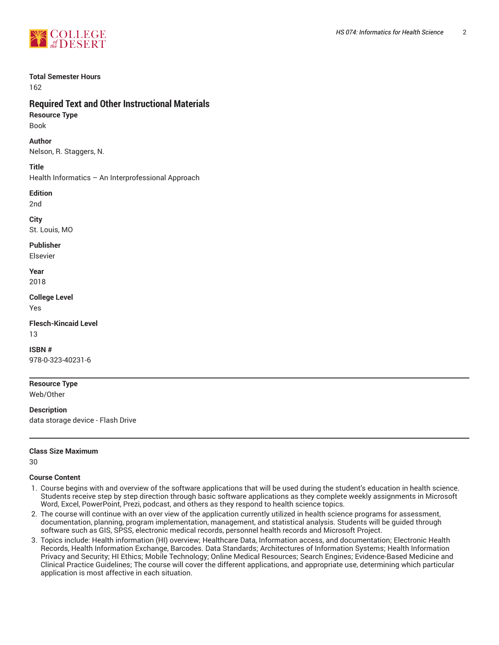

#### **Total Semester Hours**

162

# **Required Text and Other Instructional Materials**

**Resource Type** Book

**Author**

Nelson, R. Staggers, N.

**Title**

Health Informatics – An Interprofessional Approach

**Edition**

2nd

**City**

St. Louis, MO

**Publisher**

Elsevier

**Year** 2018

**College Level** Yes

**Flesch-Kincaid Level** 13

**ISBN #** 978-0-323-40231-6

**Resource Type** Web/Other

**Description** data storage device - Flash Drive

#### **Class Size Maximum**

30

#### **Course Content**

- 1. Course begins with and overview of the software applications that will be used during the student's education in health science. Students receive step by step direction through basic software applications as they complete weekly assignments in Microsoft Word, Excel, PowerPoint, Prezi, podcast, and others as they respond to health science topics.
- 2. The course will continue with an over view of the application currently utilized in health science programs for assessment, documentation, planning, program implementation, management, and statistical analysis. Students will be guided through software such as GIS, SPSS, electronic medical records, personnel health records and Microsoft Project.
- 3. Topics include: Health information (HI) overview; Healthcare Data, Information access, and documentation; Electronic Health Records, Health Information Exchange, Barcodes. Data Standards; Architectures of Information Systems; Health Information Privacy and Security; HI Ethics; Mobile Technology; Online Medical Resources; Search Engines; Evidence-Based Medicine and Clinical Practice Guidelines; The course will cover the different applications, and appropriate use, determining which particular application is most affective in each situation.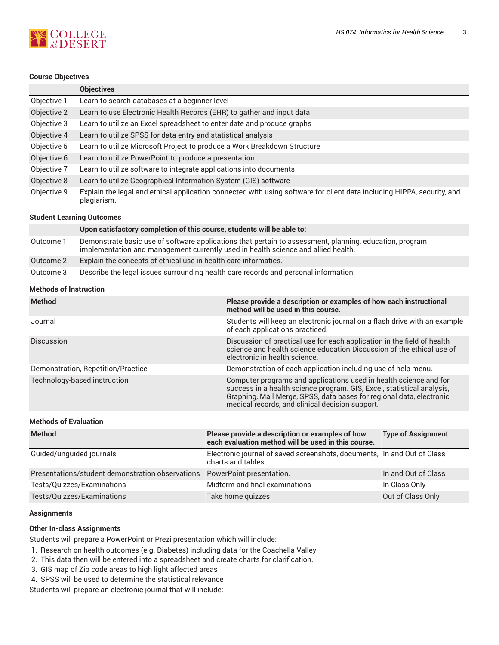

#### **Course Objectives**

|             | <b>Objectives</b>                                                                                                                     |
|-------------|---------------------------------------------------------------------------------------------------------------------------------------|
| Objective 1 | Learn to search databases at a beginner level                                                                                         |
| Objective 2 | Learn to use Electronic Health Records (EHR) to gather and input data                                                                 |
| Objective 3 | Learn to utilize an Excel spreadsheet to enter date and produce graphs                                                                |
| Objective 4 | Learn to utilize SPSS for data entry and statistical analysis                                                                         |
| Objective 5 | Learn to utilize Microsoft Project to produce a Work Breakdown Structure                                                              |
| Objective 6 | Learn to utilize PowerPoint to produce a presentation                                                                                 |
| Objective 7 | Learn to utilize software to integrate applications into documents                                                                    |
| Objective 8 | Learn to utilize Geographical Information System (GIS) software                                                                       |
| Objective 9 | Explain the legal and ethical application connected with using software for client data including HIPPA, security, and<br>plagiarism. |

#### **Student Learning Outcomes**

|           | Upon satisfactory completion of this course, students will be able to:                                                                                                                       |
|-----------|----------------------------------------------------------------------------------------------------------------------------------------------------------------------------------------------|
| Outcome 1 | Demonstrate basic use of software applications that pertain to assessment, planning, education, program<br>implementation and management currently used in health science and allied health. |
| Outcome 2 | Explain the concepts of ethical use in health care informatics.                                                                                                                              |
| Outcome 3 | Describe the legal issues surrounding health care records and personal information.                                                                                                          |

#### **Methods of Instruction**

| <b>Method</b>                      | Please provide a description or examples of how each instructional<br>method will be used in this course.                                                                                                                                                              |
|------------------------------------|------------------------------------------------------------------------------------------------------------------------------------------------------------------------------------------------------------------------------------------------------------------------|
| Journal                            | Students will keep an electronic journal on a flash drive with an example<br>of each applications practiced.                                                                                                                                                           |
| Discussion                         | Discussion of practical use for each application in the field of health<br>science and health science education. Discussion of the ethical use of<br>electronic in health science.                                                                                     |
| Demonstration, Repetition/Practice | Demonstration of each application including use of help menu.                                                                                                                                                                                                          |
| Technology-based instruction       | Computer programs and applications used in health science and for<br>success in a health science program. GIS, Excel, statistical analysis,<br>Graphing, Mail Merge, SPSS, data bases for regional data, electronic<br>medical records, and clinical decision support. |

#### **Methods of Evaluation**

| <b>Method</b>                                                              | Please provide a description or examples of how<br>each evaluation method will be used in this course. | <b>Type of Assignment</b> |
|----------------------------------------------------------------------------|--------------------------------------------------------------------------------------------------------|---------------------------|
| Guided/unguided journals                                                   | Electronic journal of saved screenshots, documents, In and Out of Class<br>charts and tables.          |                           |
| Presentations/student demonstration observations  PowerPoint presentation. |                                                                                                        | In and Out of Class       |
| Tests/Quizzes/Examinations                                                 | Midterm and final examinations                                                                         | In Class Only             |
| Tests/Quizzes/Examinations                                                 | Take home quizzes                                                                                      | Out of Class Only         |

#### **Assignments**

#### **Other In-class Assignments**

Students will prepare a PowerPoint or Prezi presentation which will include:

- 1. Research on health outcomes (e.g. Diabetes) including data for the Coachella Valley
- 2. This data then will be entered into a spreadsheet and create charts for clarification.
- 3. GIS map of Zip code areas to high light affected areas
- 4. SPSS will be used to determine the statistical relevance

Students will prepare an electronic journal that will include: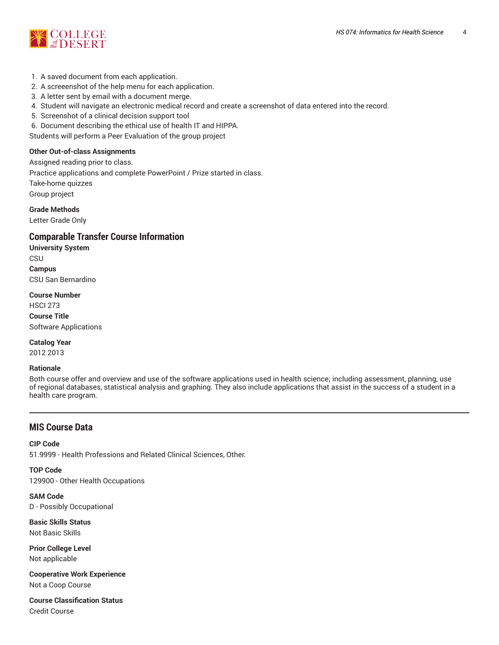

- 1. A saved document from each application.
- 2. A screeenshot of the help menu for each application.
- 3. A letter sent by email with a document merge.
- 4. Student will navigate an electronic medical record and create a screenshot of data entered into the record.
- 5. Screenshot of a clinical decision support tool
- 6. Document describing the ethical use of health IT and HIPPA.

Students will perform a Peer Evaluation of the group project

#### **Other Out-of-class Assignments**

Assigned reading prior to class. Practice applications and complete PowerPoint / Prize started in class. Take-home quizzes Group project

**Grade Methods**

Letter Grade Only

# **Comparable Transfer Course Information**

**University System CSU Campus** CSU San Bernardino

**Course Number** HSCI 273 **Course Title** Software Applications

**Catalog Year** 2012 2013

#### **Rationale**

Both course offer and overview and use of the software applications used in health science; including assessment, planning, use of regional databases, statistical analysis and graphing. They also include applications that assist in the success of a student in a health care program.

# **MIS Course Data**

#### **CIP Code**

51.9999 - Health Professions and Related Clinical Sciences, Other.

**TOP Code** 129900 - Other Health Occupations

**SAM Code** D - Possibly Occupational

**Basic Skills Status** Not Basic Skills

**Prior College Level** Not applicable

**Cooperative Work Experience** Not a Coop Course

**Course Classification Status** Credit Course